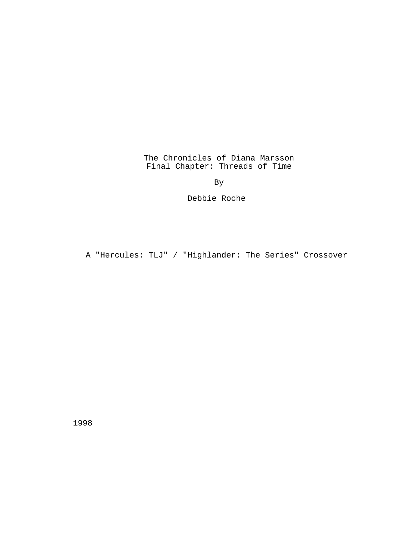The Chronicles of Diana Marsson Final Chapter: Threads of Time

By

Debbie Roche

A "Hercules: TLJ" / "Highlander: The Series" Crossover

1998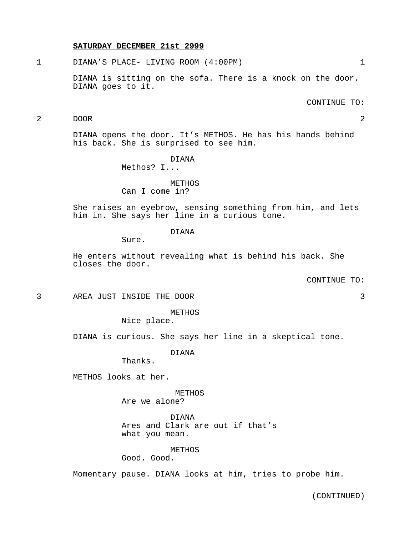#### **SATURDAY DECEMBER 21st 2999**

1 DIANA'S PLACE- LIVING ROOM (4:00PM) 1

DIANA is sitting on the sofa. There is a knock on the door. DIANA goes to it.

CONTINUE TO:

# 2 DOOR 2

DIANA opens the door. It's METHOS. He has his hands behind his back. She is surprised to see him.

> DIANA Methos? I...

# METHOS

Can I come in?

She raises an eyebrow, sensing something from him, and lets him in. She says her line in a curious tone.

# DIANA

Sure.

He enters without revealing what is behind his back. She closes the door.

CONTINUE TO:

3 AREA JUST INSIDE THE DOOR 3

METHOS Nice place.

DIANA is curious. She says her line in a skeptical tone.

DIANA

Thanks.

METHOS looks at her.

METHOS

Are we alone?

DIANA Ares and Clark are out if that's what you mean.

# METHOS

Good. Good.

Momentary pause. DIANA looks at him, tries to probe him.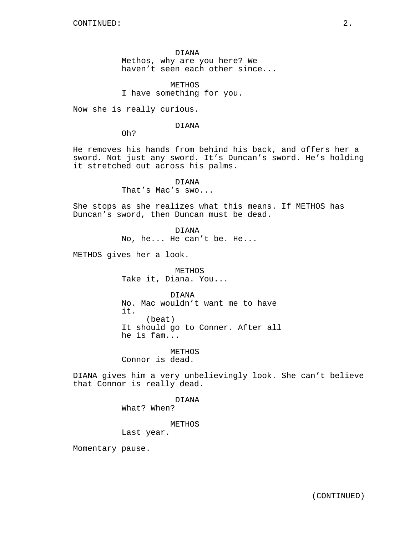DIANA Methos, why are you here? We haven't seen each other since...

METHOS I have something for you.

Now she is really curious.

DIANA

Oh?

He removes his hands from behind his back, and offers her a sword. Not just any sword. It's Duncan's sword. He's holding it stretched out across his palms.

DIANA

That's Mac's swo...

She stops as she realizes what this means. If METHOS has Duncan's sword, then Duncan must be dead.

DIANA

No, he... He can't be. He...

METHOS gives her a look.

METHOS Take it, Diana. You...

DIANA No. Mac wouldn't want me to have it. (beat) It should go to Conner. After all he is fam...

**METHOS** Connor is dead.

DIANA gives him a very unbelievingly look. She can't believe that Connor is really dead.

> DIANA What? When?

> > METHOS

Last year.

Momentary pause.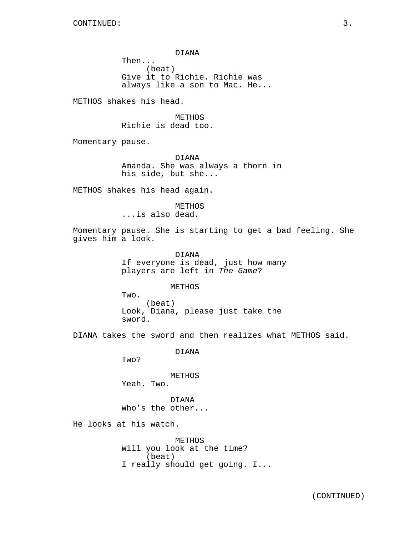DIANA Then... (beat) Give it to Richie. Richie was always like a son to Mac. He...

METHOS shakes his head.

METHOS Richie is dead too.

Momentary pause.

DIANA Amanda. She was always a thorn in his side, but she...

METHOS shakes his head again.

METHOS ...is also dead.

Momentary pause. She is starting to get a bad feeling. She gives him a look.

> DIANA If everyone is dead, just how many players are left in The Game?

> > METHOS

Two. (beat) Look, Diana, please just take the sword.

DIANA takes the sword and then realizes what METHOS said.

DIANA

Two?

METHOS Yeah. Two.

DIANA Who's the other...

He looks at his watch.

METHOS Will you look at the time? (beat) I really should get going. I...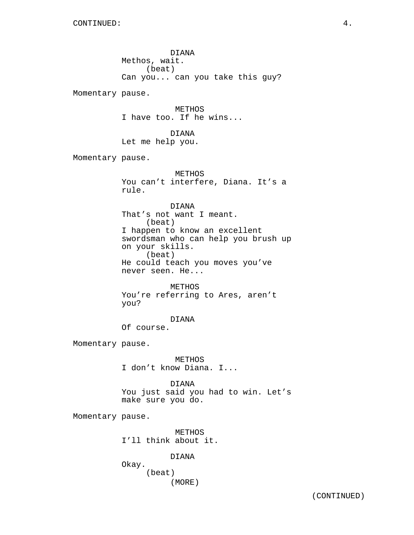DIANA Methos, wait. (beat) Can you... can you take this guy? Momentary pause. METHOS I have too. If he wins... DIANA Let me help you. Momentary pause. METHOS You can't interfere, Diana. It's a rule. DIANA That's not want I meant. (beat) I happen to know an excellent swordsman who can help you brush up on your skills. (beat) He could teach you moves you've never seen. He... METHOS You're referring to Ares, aren't you? DIANA Of course. Momentary pause. METHOS I don't know Diana. I... DIANA You just said you had to win. Let's make sure you do. Momentary pause. METHOS I'll think about it. DIANA Okay. (beat) (MORE)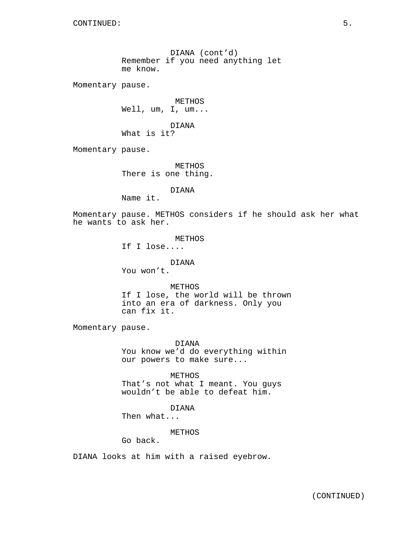DIANA (cont'd) Remember if you need anything let me know.

Momentary pause.

METHOS Well, um, I, um...

DIANA What is it?

Momentary pause.

METHOS There is one thing.

DIANA

Name it.

Momentary pause. METHOS considers if he should ask her what he wants to ask her.

METHOS

If I lose....

DIANA

You won't.

METHOS If I lose, the world will be thrown into an era of darkness. Only you can fix it.

Momentary pause.

DIANA You know we'd do everything within our powers to make sure...

METHOS That's not what I meant. You guys wouldn't be able to defeat him.

DIANA

Then what...

METHOS

Go back.

DIANA looks at him with a raised eyebrow.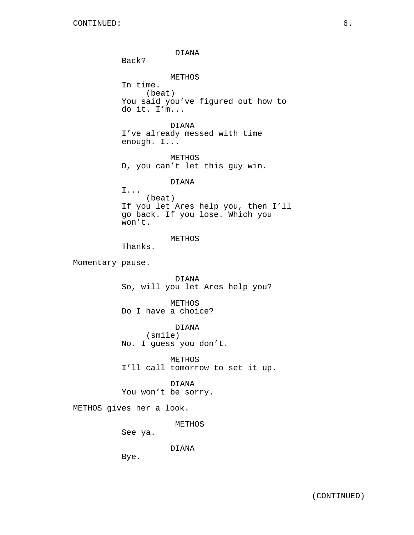DIANA Back? METHOS In time. (beat) You said you've figured out how to do it. I'm... DIANA I've already messed with time enough. I... METHOS D, you can't let this guy win. DIANA I... (beat) If you let Ares help you, then I'll go back. If you lose. Which you won't. METHOS Thanks. Momentary pause. DIANA So, will you let Ares help you? METHOS Do I have a choice? DIANA (smile) No. I guess you don't. METHOS I'll call tomorrow to set it up. DIANA You won't be sorry. METHOS gives her a look. METHOS See ya. DIANA Bye.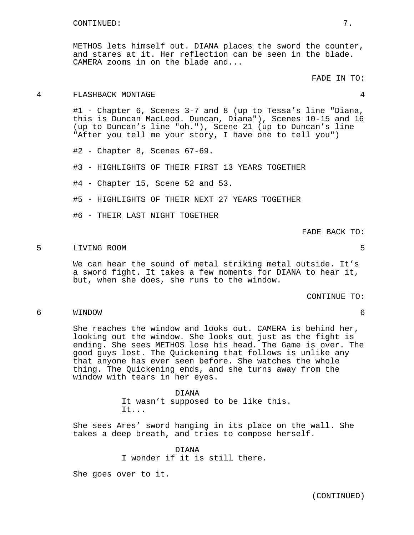METHOS lets himself out. DIANA places the sword the counter, and stares at it. Her reflection can be seen in the blade. CAMERA zooms in on the blade and...

# 4 FLASHBACK MONTAGE 4

#1 - Chapter 6, Scenes 3-7 and 8 (up to Tessa's line "Diana, this is Duncan MacLeod. Duncan, Diana"), Scenes 10-15 and 16 (up to Duncan's line "oh."), Scene 21 (up to Duncan's line "After you tell me your story, I have one to tell you")

#2 - Chapter 8, Scenes 67-69.

#3 - HIGHLIGHTS OF THEIR FIRST 13 YEARS TOGETHER

#4 - Chapter 15, Scene 52 and 53.

#5 - HIGHLIGHTS OF THEIR NEXT 27 YEARS TOGETHER

#6 - THEIR LAST NIGHT TOGETHER

FADE BACK TO:

#### 5 LIVING ROOM 5

We can hear the sound of metal striking metal outside. It's a sword fight. It takes a few moments for DIANA to hear it, but, when she does, she runs to the window.

CONTINUE TO:

6 WINDOW 6

She reaches the window and looks out. CAMERA is behind her, looking out the window. She looks out just as the fight is ending. She sees METHOS lose his head. The Game is over. The good guys lost. The Quickening that follows is unlike any that anyone has ever seen before. She watches the whole thing. The Quickening ends, and she turns away from the window with tears in her eyes.

> DIANA It wasn't supposed to be like this. It...

She sees Ares' sword hanging in its place on the wall. She takes a deep breath, and tries to compose herself.

> DIANA I wonder if it is still there.

She goes over to it.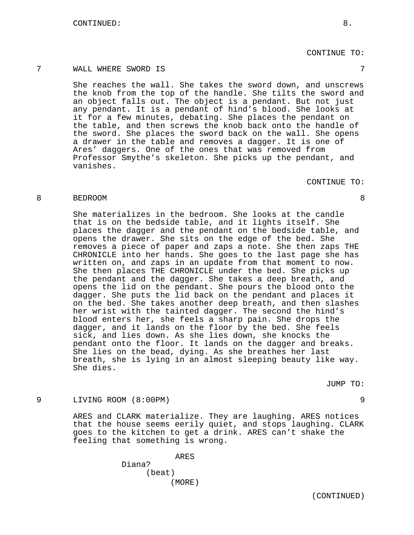CONTINUE TO:

# 7 WALL WHERE SWORD IS 7

She reaches the wall. She takes the sword down, and unscrews the knob from the top of the handle. She tilts the sword and an object falls out. The object is a pendant. But not just any pendant. It is a pendant of hind's blood. She looks at it for a few minutes, debating. She places the pendant on the table, and then screws the knob back onto the handle of the sword. She places the sword back on the wall. She opens a drawer in the table and removes a dagger. It is one of Ares' daggers. One of the ones that was removed from Professor Smythe's skeleton. She picks up the pendant, and vanishes.

# CONTINUE TO:

# 8 BEDROOM 8

She materializes in the bedroom. She looks at the candle that is on the bedside table, and it lights itself. She places the dagger and the pendant on the bedside table, and opens the drawer. She sits on the edge of the bed. She removes a piece of paper and zaps a note. She then zaps THE CHRONICLE into her hands. She goes to the last page she has written on, and zaps in an update from that moment to now. She then places THE CHRONICLE under the bed. She picks up the pendant and the dagger. She takes a deep breath, and opens the lid on the pendant. She pours the blood onto the dagger. She puts the lid back on the pendant and places it on the bed. She takes another deep breath, and then slashes her wrist with the tainted dagger. The second the hind's blood enters her, she feels a sharp pain. She drops the dagger, and it lands on the floor by the bed. She feels sick, and lies down. As she lies down, she knocks the pendant onto the floor. It lands on the dagger and breaks. She lies on the bead, dying. As she breathes her last breath, she is lying in an almost sleeping beauty like way. She dies.

JUMP TO:

# 9 LIVING ROOM (8:00PM) 9

ARES and CLARK materialize. They are laughing. ARES notices that the house seems eerily quiet, and stops laughing. CLARK goes to the kitchen to get a drink. ARES can't shake the feeling that something is wrong.

> ARES Diana? (beat) (MORE)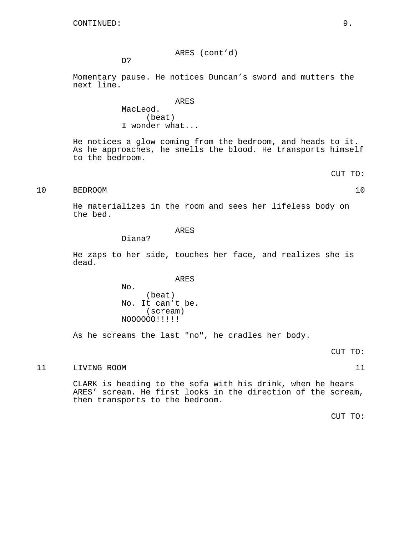ARES (cont'd)

D?

Momentary pause. He notices Duncan's sword and mutters the next line.

> ARES MacLeod. (beat) I wonder what...

He notices a glow coming from the bedroom, and heads to it. As he approaches, he smells the blood. He transports himself to the bedroom.

CUT TO:

# 10 BEDROOM 10

He materializes in the room and sees her lifeless body on the bed.

# ARES

Diana?

He zaps to her side, touches her face, and realizes she is dead.

ARES

No. (beat) No. It can't be. (scream) NOOOOOO!!!!!

As he screams the last "no", he cradles her body.

# 11 LIVING ROOM 11

CLARK is heading to the sofa with his drink, when he hears ARES' scream. He first looks in the direction of the scream, then transports to the bedroom.

CUT TO: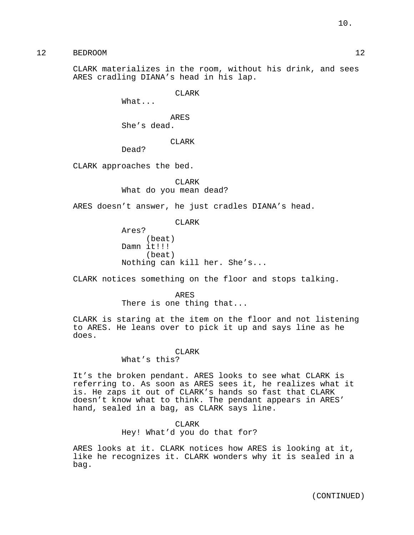12 BEDROOM 12

CLARK materializes in the room, without his drink, and sees ARES cradling DIANA's head in his lap.

CLARK

What...

ARES She's dead.

CLARK

Dead?

CLARK approaches the bed.

CLARK What do you mean dead?

ARES doesn't answer, he just cradles DIANA's head.

CLARK

Ares? (beat) Damn it!!! (beat) Nothing can kill her. She's...

CLARK notices something on the floor and stops talking.

ARES There is one thing that...

CLARK is staring at the item on the floor and not listening to ARES. He leans over to pick it up and says line as he does.

# CLAR<sub>K</sub>

What's this?

It's the broken pendant. ARES looks to see what CLARK is referring to. As soon as ARES sees it, he realizes what it is. He zaps it out of CLARK's hands so fast that CLARK doesn't know what to think. The pendant appears in ARES' hand, sealed in a bag, as CLARK says line.

#### CLARK

Hey! What'd you do that for?

ARES looks at it. CLARK notices how ARES is looking at it, like he recognizes it. CLARK wonders why it is sealed in a bag.

(CONTINUED)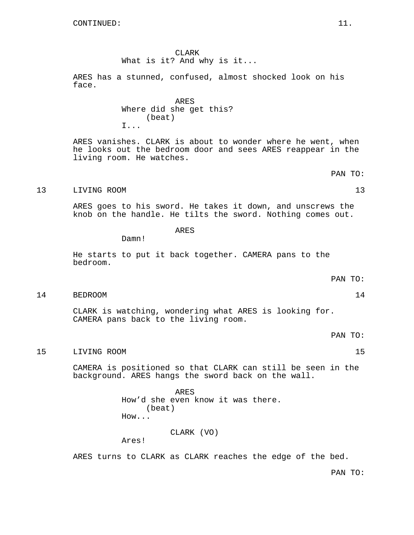CLARK What is it? And why is it...

ARES has a stunned, confused, almost shocked look on his face.

> ARES Where did she get this? (beat) I...

ARES vanishes. CLARK is about to wonder where he went, when he looks out the bedroom door and sees ARES reappear in the living room. He watches.

PAN TO:

# 13 LIVING ROOM 13

ARES goes to his sword. He takes it down, and unscrews the knob on the handle. He tilts the sword. Nothing comes out.

ARES

Damn!

He starts to put it back together. CAMERA pans to the bedroom.

PAN TO:

14 BEDROOM 14

CLARK is watching, wondering what ARES is looking for. CAMERA pans back to the living room.

PAN TO:

15 LIVING ROOM 15

CAMERA is positioned so that CLARK can still be seen in the background. ARES hangs the sword back on the wall.

> ARES How'd she even know it was there. (beat) How...

> > CLARK (VO)

Ares!

ARES turns to CLARK as CLARK reaches the edge of the bed.

PAN TO: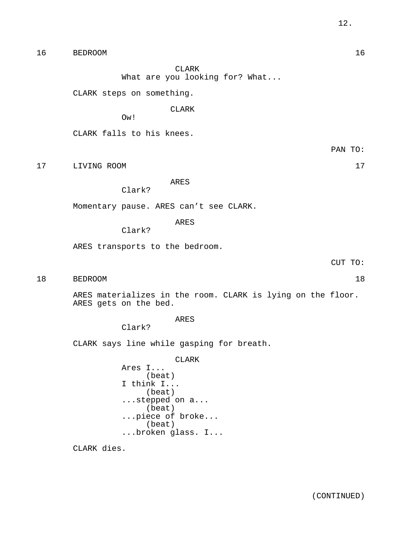16 BEDROOM 16

CLARK

What are you looking for? What...

CLARK steps on something.

CLARK

Ow!

CLARK falls to his knees.

PAN TO:

17 LIVING ROOM 17

ARES

Clark?

Momentary pause. ARES can't see CLARK.

ARES

Clark?

ARES transports to the bedroom.

18 BEDROOM 18

ARES materializes in the room. CLARK is lying on the floor. ARES gets on the bed.

ARES

Clark?

CLARK says line while gasping for breath.

CLARK Ares I... (beat) I think I... (beat) ...stepped on a... (beat) ...piece of broke... (beat) ...broken glass. I...

CLARK dies.

CUT TO: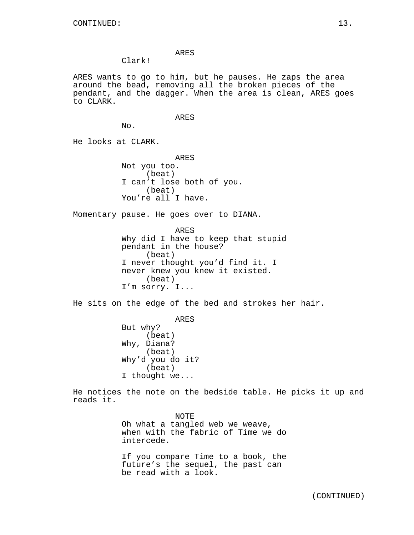# ARES

Clark!

ARES wants to go to him, but he pauses. He zaps the area around the bead, removing all the broken pieces of the pendant, and the dagger. When the area is clean, ARES goes to CLARK.

#### ARES

No.

He looks at CLARK.

ARES Not you too. (beat) I can't lose both of you. (beat) You're all I have.

Momentary pause. He goes over to DIANA.

ARES Why did I have to keep that stupid pendant in the house? (beat) I never thought you'd find it. I never knew you knew it existed. (beat) I'm sorry. I...

He sits on the edge of the bed and strokes her hair.

ARES But why? (beat) Why, Diana? (beat) Why'd you do it? (beat) I thought we...

He notices the note on the bedside table. He picks it up and reads it.

> NOTE Oh what a tangled web we weave, when with the fabric of Time we do intercede.

> If you compare Time to a book, the future's the sequel, the past can be read with a look.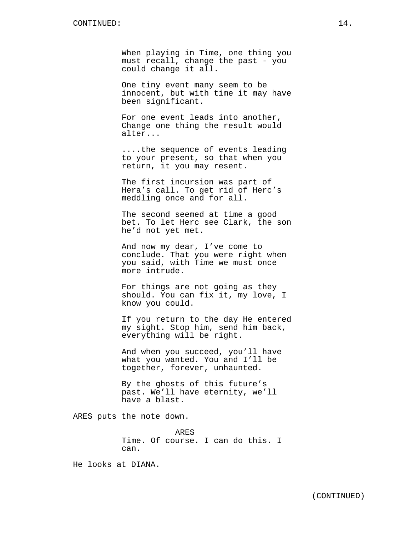When playing in Time, one thing you must recall, change the past - you could change it all.

One tiny event many seem to be innocent, but with time it may have been significant.

For one event leads into another, Change one thing the result would alter...

....the sequence of events leading to your present, so that when you return, it you may resent.

The first incursion was part of Hera's call. To get rid of Herc's meddling once and for all.

The second seemed at time a good bet. To let Herc see Clark, the son he'd not yet met.

And now my dear, I've come to conclude. That you were right when you said, with Time we must once more intrude.

For things are not going as they should. You can fix it, my love, I know you could.

If you return to the day He entered my sight. Stop him, send him back, everything will be right.

And when you succeed, you'll have what you wanted. You and I'll be together, forever, unhaunted.

By the ghosts of this future's past. We'll have eternity, we'll have a blast.

ARES puts the note down.

ARES Time. Of course. I can do this. I can.

He looks at DIANA.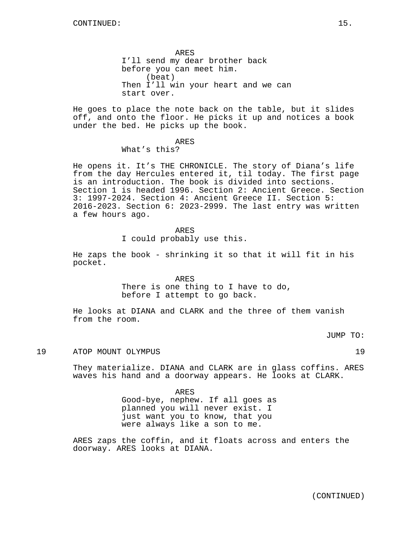ARES I'll send my dear brother back before you can meet him. (beat) Then I'll win your heart and we can start over.

He goes to place the note back on the table, but it slides off, and onto the floor. He picks it up and notices a book under the bed. He picks up the book.

#### ARES

# What's this?

He opens it. It's THE CHRONICLE. The story of Diana's life from the day Hercules entered it, til today. The first page is an introduction. The book is divided into sections. Section 1 is headed 1996. Section 2: Ancient Greece. Section 3: 1997-2024. Section 4: Ancient Greece II. Section 5: 2016-2023. Section 6: 2023-2999. The last entry was written a few hours ago.

# ARES

I could probably use this.

He zaps the book - shrinking it so that it will fit in his pocket.

ARES

There is one thing to I have to do, before I attempt to go back.

He looks at DIANA and CLARK and the three of them vanish from the room.

JUMP TO:

# 19 ATOP MOUNT OLYMPUS 19

They materialize. DIANA and CLARK are in glass coffins. ARES waves his hand and a doorway appears. He looks at CLARK.

> ARES Good-bye, nephew. If all goes as planned you will never exist. I just want you to know, that you were always like a son to me.

ARES zaps the coffin, and it floats across and enters the doorway. ARES looks at DIANA.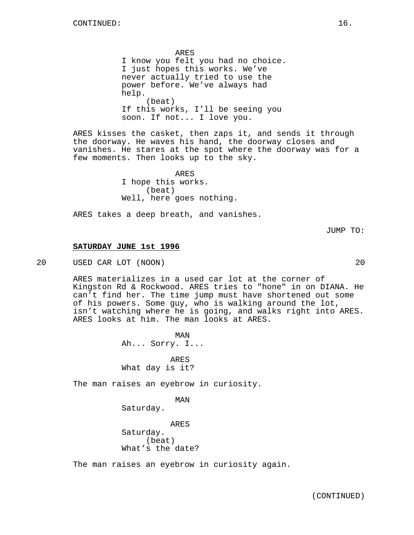ARES I know you felt you had no choice. I just hopes this works. We've never actually tried to use the power before. We've always had help. (beat) If this works, I'll be seeing you soon. If not... I love you.

ARES kisses the casket, then zaps it, and sends it through the doorway. He waves his hand, the doorway closes and vanishes. He stares at the spot where the doorway was for a few moments. Then looks up to the sky.

> ARES I hope this works. (beat) Well, here goes nothing.

ARES takes a deep breath, and vanishes.

JUMP TO:

# **SATURDAY JUNE 1st 1996**

20 USED CAR LOT (NOON) 20

ARES materializes in a used car lot at the corner of Kingston Rd & Rockwood. ARES tries to "hone" in on DIANA. He can't find her. The time jump must have shortened out some of his powers. Some guy, who is walking around the lot, isn't watching where he is going, and walks right into ARES. ARES looks at him. The man looks at ARES.

> MAN Ah... Sorry. I...

ARES What day is it?

The man raises an eyebrow in curiosity.

MAN

Saturday.

ARES Saturday. (beat) What's the date?

The man raises an eyebrow in curiosity again.

(CONTINUED)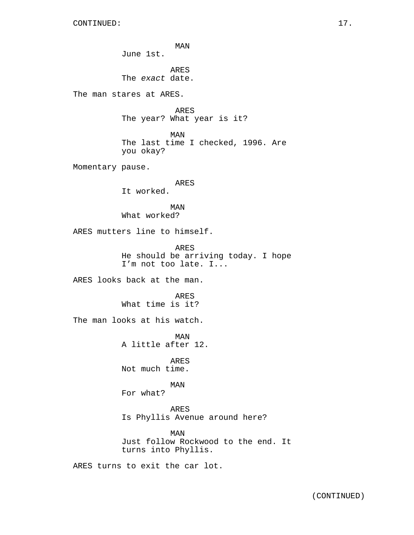MAN June 1st. ARES The exact date. The man stares at ARES. ARES The year? What year is it? MAN The last time I checked, 1996. Are you okay? Momentary pause. ARES It worked. MAN What worked? ARES mutters line to himself. ARES He should be arriving today. I hope I'm not too late. I... ARES looks back at the man. ARES What time is it? The man looks at his watch. MAN A little after 12. ARES Not much time. MAN For what? ARES Is Phyllis Avenue around here? MAN Just follow Rockwood to the end. It turns into Phyllis. ARES turns to exit the car lot.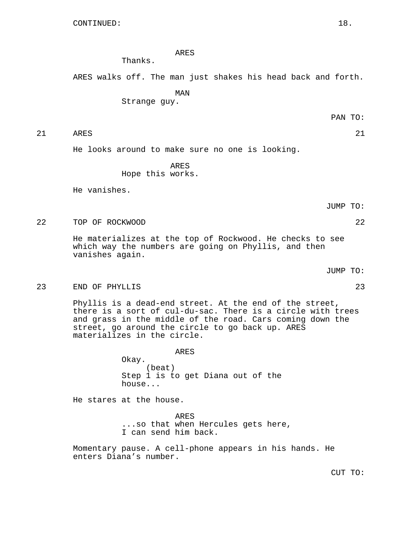ARES

Thanks.

ARES walks off. The man just shakes his head back and forth.

MAN

Strange guy.

PAN TO:

21 ARES 21

He looks around to make sure no one is looking.

ARES Hope this works.

He vanishes.

JUMP TO:

22 TOP OF ROCKWOOD 22

He materializes at the top of Rockwood. He checks to see which way the numbers are going on Phyllis, and then vanishes again.

JUMP TO:

23 END OF PHYLLIS 23

Phyllis is a dead-end street. At the end of the street, there is a sort of cul-du-sac. There is a circle with trees and grass in the middle of the road. Cars coming down the street, go around the circle to go back up. ARES materializes in the circle.

> ARES Okay. (beat) Step 1 is to get Diana out of the house...

He stares at the house.

ARES ...so that when Hercules gets here, I can send him back.

Momentary pause. A cell-phone appears in his hands. He enters Diana's number.

CUT TO: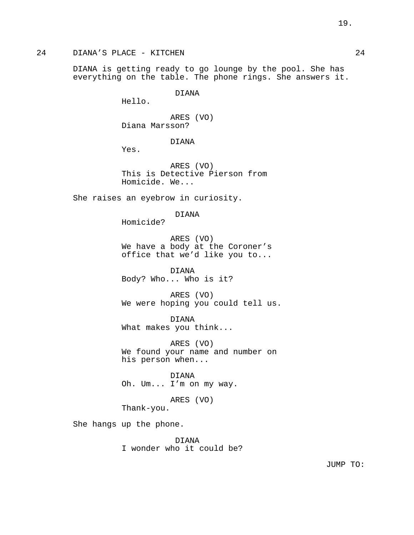DIANA is getting ready to go lounge by the pool. She has everything on the table. The phone rings. She answers it.

DIANA

Hello.

ARES (VO) Diana Marsson?

DIANA

Yes.

ARES (VO) This is Detective Pierson from Homicide. We...

She raises an eyebrow in curiosity.

DIANA

Homicide?

ARES (VO) We have a body at the Coroner's office that we'd like you to...

DIANA Body? Who... Who is it?

ARES (VO) We were hoping you could tell us.

DIANA What makes you think...

ARES (VO) We found your name and number on his person when...

DIANA Oh. Um... I'm on my way.

ARES (VO)

Thank-you.

She hangs up the phone.

DIANA I wonder who it could be?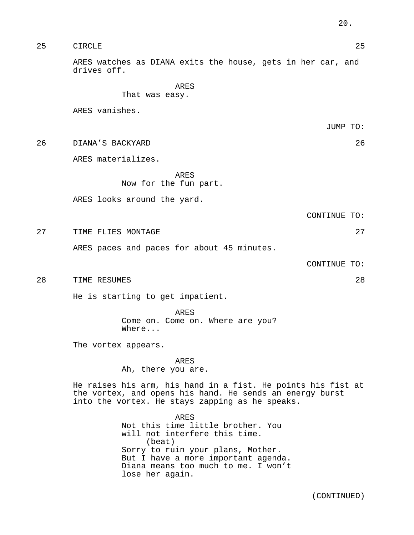| 25 | CIRCLE | つに |
|----|--------|----|
|----|--------|----|

ARES watches as DIANA exits the house, gets in her car, and drives off.

ARES

That was easy.

ARES vanishes.

JUMP TO:

26 DIANA'S BACKYARD 26

ARES materializes.

ARES

Now for the fun part.

ARES looks around the yard.

CONTINUE TO:

27 TIME FLIES MONTAGE 27 27

ARES paces and paces for about 45 minutes.

CONTINUE TO:

28 TIME RESUMES 28

He is starting to get impatient.

ARES Come on. Come on. Where are you? Where...

The vortex appears.

ARES

Ah, there you are.

He raises his arm, his hand in a fist. He points his fist at the vortex, and opens his hand. He sends an energy burst into the vortex. He stays zapping as he speaks.

> ARES Not this time little brother. You will not interfere this time. (beat) Sorry to ruin your plans, Mother. But I have a more important agenda. Diana means too much to me. I won't lose her again.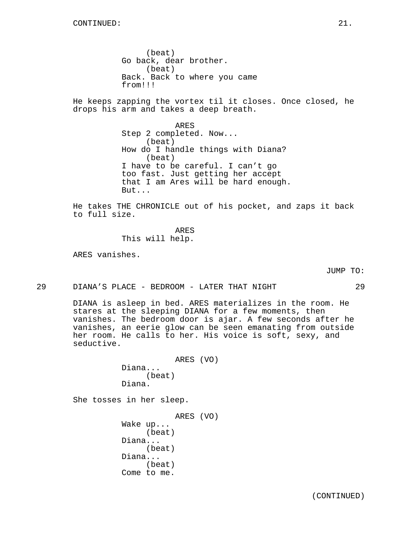(beat) Go back, dear brother. (beat) Back. Back to where you came from!!!

He keeps zapping the vortex til it closes. Once closed, he drops his arm and takes a deep breath.

> ARES Step 2 completed. Now... (beat) How do I handle things with Diana? (beat) I have to be careful. I can't go too fast. Just getting her accept that I am Ares will be hard enough. But...

He takes THE CHRONICLE out of his pocket, and zaps it back to full size.

> ARES This will help.

ARES vanishes.

JUMP TO:

29 DIANA'S PLACE - BEDROOM - LATER THAT NIGHT 29

DIANA is asleep in bed. ARES materializes in the room. He stares at the sleeping DIANA for a few moments, then vanishes. The bedroom door is ajar. A few seconds after he vanishes, an eerie glow can be seen emanating from outside her room. He calls to her. His voice is soft, sexy, and seductive.

> ARES (VO) Diana... (beat) Diana.

She tosses in her sleep.

ARES (VO) Wake up... (beat) Diana... (beat) Diana... (beat) Come to me.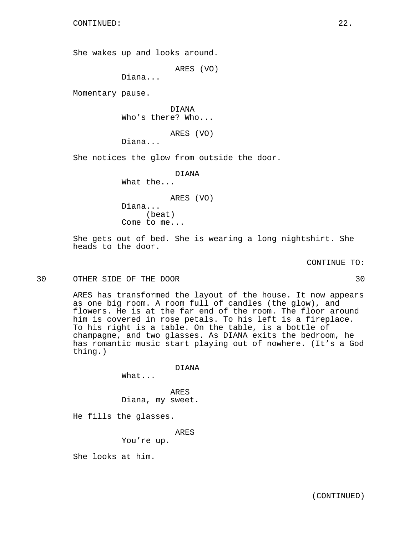She wakes up and looks around.

ARES (VO)

Diana...

Momentary pause.

DIANA Who's there? Who...

ARES (VO)

Diana...

She notices the glow from outside the door.

DIANA

What the...

ARES (VO)

Diana... (beat) Come to me...

She gets out of bed. She is wearing a long nightshirt. She heads to the door.

CONTINUE TO:

30 OTHER SIDE OF THE DOOR 30

ARES has transformed the layout of the house. It now appears as one big room. A room full of candles (the glow), and flowers. He is at the far end of the room. The floor around him is covered in rose petals. To his left is a fireplace. To his right is a table. On the table, is a bottle of champagne, and two glasses. As DIANA exits the bedroom, he has romantic music start playing out of nowhere. (It's a God thing.)

DIANA

What...

ARES Diana, my sweet.

He fills the glasses.

ARES

You're up.

She looks at him.

(CONTINUED)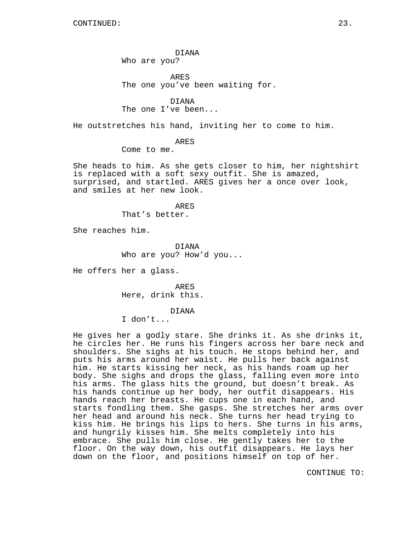DIANA Who are you?

ARES The one you've been waiting for.

DIANA The one I've been...

He outstretches his hand, inviting her to come to him.

ARES

Come to me.

She heads to him. As she gets closer to him, her nightshirt is replaced with a soft sexy outfit. She is amazed, surprised, and startled. ARES gives her a once over look, and smiles at her new look.

> ARES That's better.

She reaches him.

DIANA Who are you? How'd you...

He offers her a glass.

ARES Here, drink this.

DIANA

I don't...

He gives her a godly stare. She drinks it. As she drinks it, he circles her. He runs his fingers across her bare neck and shoulders. She sighs at his touch. He stops behind her, and puts his arms around her waist. He pulls her back against him. He starts kissing her neck, as his hands roam up her body. She sighs and drops the glass, falling even more into his arms. The glass hits the ground, but doesn't break. As his hands continue up her body, her outfit disappears. His hands reach her breasts. He cups one in each hand, and starts fondling them. She gasps. She stretches her arms over her head and around his neck. She turns her head trying to kiss him. He brings his lips to hers. She turns in his arms, and hungrily kisses him. She melts completely into his embrace. She pulls him close. He gently takes her to the floor. On the way down, his outfit disappears. He lays her down on the floor, and positions himself on top of her.

CONTINUE TO: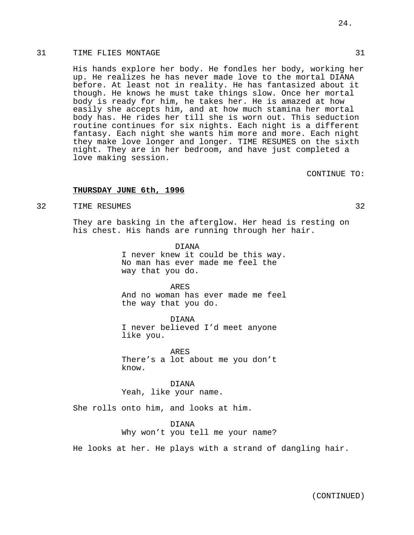His hands explore her body. He fondles her body, working her up. He realizes he has never made love to the mortal DIANA before. At least not in reality. He has fantasized about it though. He knows he must take things slow. Once her mortal body is ready for him, he takes her. He is amazed at how easily she accepts him, and at how much stamina her mortal body has. He rides her till she is worn out. This seduction routine continues for six nights. Each night is a different fantasy. Each night she wants him more and more. Each night they make love longer and longer. TIME RESUMES on the sixth night. They are in her bedroom, and have just completed a love making session.

CONTINUE TO:

# **THURSDAY JUNE 6th, 1996**

32 TIME RESUMES 32

They are basking in the afterglow. Her head is resting on his chest. His hands are running through her hair.

> DIANA I never knew it could be this way. No man has ever made me feel the way that you do.

> ARES And no woman has ever made me feel the way that you do.

DIANA I never believed I'd meet anyone like you.

ARES There's a lot about me you don't know.

DIANA Yeah, like your name.

She rolls onto him, and looks at him.

DIANA Why won't you tell me your name?

He looks at her. He plays with a strand of dangling hair.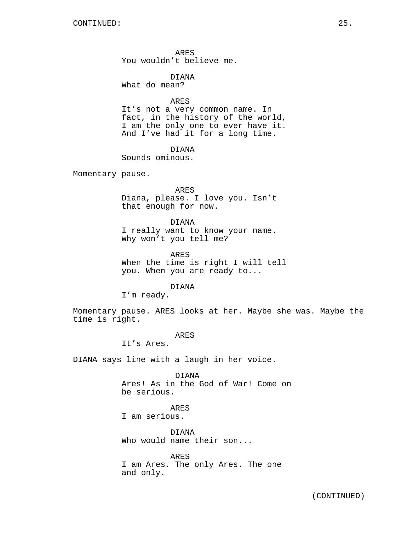ARES You wouldn't believe me.

DIANA What do mean?

ARES

It's not a very common name. In fact, in the history of the world, I am the only one to ever have it. And I've had it for a long time.

DIANA

Sounds ominous.

Momentary pause.

ARES Diana, please. I love you. Isn't that enough for now.

DIANA I really want to know your name. Why won't you tell me?

ARES When the time is right I will tell you. When you are ready to...

DIANA

I'm ready.

Momentary pause. ARES looks at her. Maybe she was. Maybe the time is right.

ARES

It's Ares.

DIANA says line with a laugh in her voice.

DIANA Ares! As in the God of War! Come on be serious.

ARES I am serious.

DIANA Who would name their son...

ARES I am Ares. The only Ares. The one and only.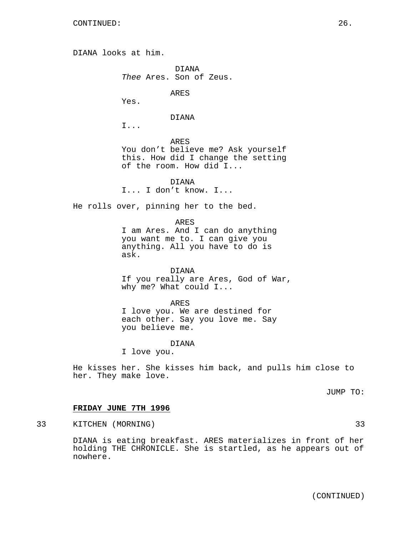DIANA looks at him. DIANA Thee Ares. Son of Zeus. ARES Yes. DIANA I... ARES You don't believe me? Ask yourself this. How did I change the setting of the room. How did I... DIANA I... I don't know. I... He rolls over, pinning her to the bed. ARES I am Ares. And I can do anything you want me to. I can give you anything. All you have to do is ask. DIANA If you really are Ares, God of War, why me? What could I... ARES

I love you. We are destined for each other. Say you love me. Say you believe me.

#### DIANA

I love you.

He kisses her. She kisses him back, and pulls him close to her. They make love.

JUMP TO:

# **FRIDAY JUNE 7TH 1996**

33 KITCHEN (MORNING) 33

DIANA is eating breakfast. ARES materializes in front of her holding THE CHRONICLE. She is startled, as he appears out of nowhere.

(CONTINUED)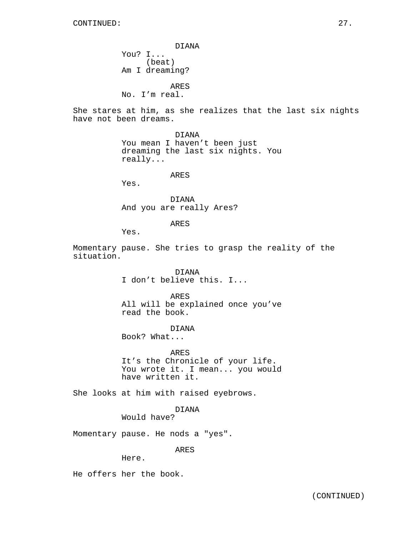DIANA You? I... (beat) Am I dreaming? ARES

No. I'm real.

She stares at him, as she realizes that the last six nights have not been dreams.

> DIANA You mean I haven't been just dreaming the last six nights. You really...

> > ARES

Yes.

DIANA And you are really Ares?

ARES

Yes.

Momentary pause. She tries to grasp the reality of the situation.

> DIANA I don't believe this. I...

ARES All will be explained once you've read the book.

DIANA Book? What...

ARES It's the Chronicle of your life. You wrote it. I mean... you would have written it.

She looks at him with raised eyebrows.

DIANA

Would have?

Momentary pause. He nods a "yes".

ARES

Here.

He offers her the book.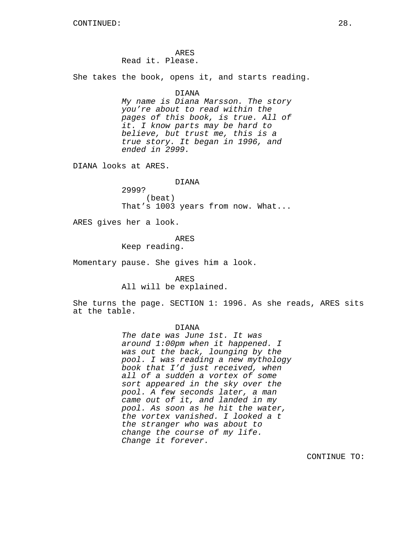ARES Read it. Please.

She takes the book, opens it, and starts reading.

# DIANA

My name is Diana Marsson. The story you're about to read within the pages of this book, is true. All of it. I know parts may be hard to believe, but trust me, this is a true story. It began in 1996, and ended in 2999.

DIANA looks at ARES.

# DIANA

2999? (beat) That's 1003 years from now. What...

ARES gives her a look.

#### ARES

Keep reading.

Momentary pause. She gives him a look.

ARES All will be explained.

She turns the page. SECTION 1: 1996. As she reads, ARES sits at the table.

#### DIANA

The date was June 1st. It was around 1:00pm when it happened. I was out the back, lounging by the pool. I was reading a new mythology book that I'd just received, when all of a sudden a vortex of some sort appeared in the sky over the pool. A few seconds later, a man came out of it, and landed in my pool. As soon as he hit the water, the vortex vanished. I looked a t the stranger who was about to change the course of my life. Change it forever.

CONTINUE TO: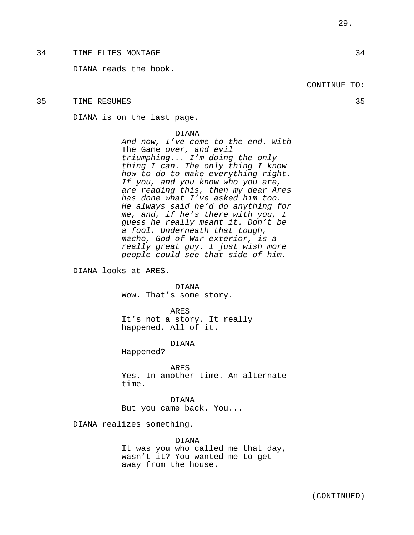DIANA reads the book.

# 35 TIME RESUMES 35

DIANA is on the last page.

#### DIANA

And now, I've come to the end. With The Game over, and evil triumphing... I'm doing the only thing I can. The only thing I know how to do to make everything right. If you, and you know who you are, are reading this, then my dear Ares has done what I've asked him too. He always said he'd do anything for me, and, if he's there with you, I guess he really meant it. Don't be a fool. Underneath that tough, macho, God of War exterior, is a really great guy. I just wish more people could see that side of him.

DIANA looks at ARES.

DIANA Wow. That's some story.

ARES

It's not a story. It really happened. All of it.

DIANA

Happened?

ARES Yes. In another time. An alternate time.

DIANA But you came back. You...

DIANA realizes something.

DIANA It was you who called me that day, wasn't it? You wanted me to get away from the house.

(CONTINUED)

# CONTINUE TO: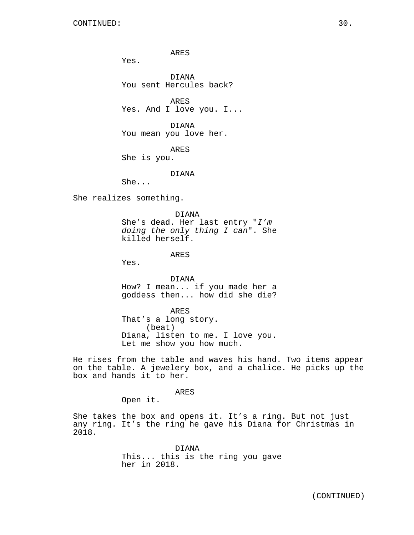ARES

Yes.

DIANA You sent Hercules back?

ARES Yes. And I love you. I...

DIANA You mean you love her.

ARES She is you.

DIANA

She...

She realizes something.

DIANA She's dead. Her last entry "I'm doing the only thing I can". She killed herself.

ARES

Yes.

DIANA How? I mean... if you made her a goddess then... how did she die?

ARES That's a long story. (beat) Diana, listen to me. I love you. Let me show you how much.

He rises from the table and waves his hand. Two items appear on the table. A jewelery box, and a chalice. He picks up the box and hands it to her.

ARES

Open it.

She takes the box and opens it. It's a ring. But not just any ring. It's the ring he gave his Diana for Christmas in 2018.

> DIANA This... this is the ring you gave her in 2018.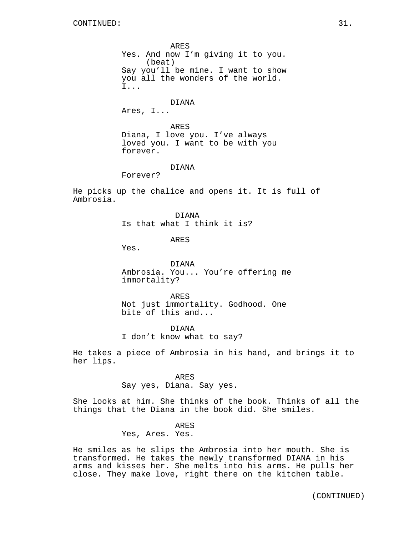ARES Yes. And now I'm giving it to you. (beat) Say you'll be mine. I want to show you all the wonders of the world. I... DIANA Ares, I... ARES Diana, I love you. I've always loved you. I want to be with you forever.

DIANA

Forever?

He picks up the chalice and opens it. It is full of Ambrosia.

> DIANA Is that what I think it is?

> > ARES

Yes.

DIANA Ambrosia. You... You're offering me immortality?

ARES Not just immortality. Godhood. One bite of this and...

DIANA I don't know what to say?

He takes a piece of Ambrosia in his hand, and brings it to her lips.

> ARES Say yes, Diana. Say yes.

She looks at him. She thinks of the book. Thinks of all the things that the Diana in the book did. She smiles.

#### ARES

Yes, Ares. Yes.

He smiles as he slips the Ambrosia into her mouth. She is transformed. He takes the newly transformed DIANA in his arms and kisses her. She melts into his arms. He pulls her close. They make love, right there on the kitchen table.

(CONTINUED)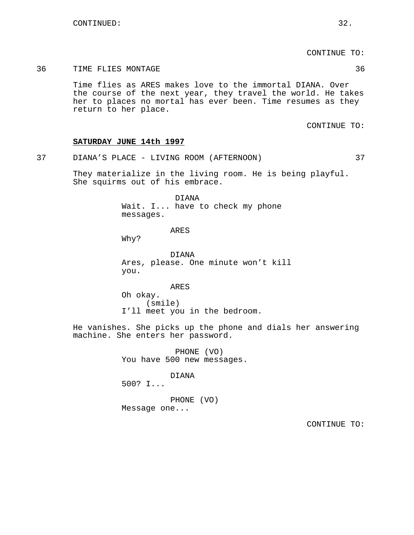CONTINUE TO:

# 36 TIME FLIES MONTAGE 36

Time flies as ARES makes love to the immortal DIANA. Over the course of the next year, they travel the world. He takes her to places no mortal has ever been. Time resumes as they return to her place.

CONTINUE TO:

# **SATURDAY JUNE 14th 1997**

37 DIANA'S PLACE - LIVING ROOM (AFTERNOON) 37

They materialize in the living room. He is being playful. She squirms out of his embrace.

> DIANA Wait. I... have to check my phone messages.

> > ARES

Why?

DIANA Ares, please. One minute won't kill you.

ARES Oh okay. (smile) I'll meet you in the bedroom.

He vanishes. She picks up the phone and dials her answering machine. She enters her password.

> PHONE (VO) You have 500 new messages.

> > DIANA

500? I...

PHONE (VO) Message one...

CONTINUE TO: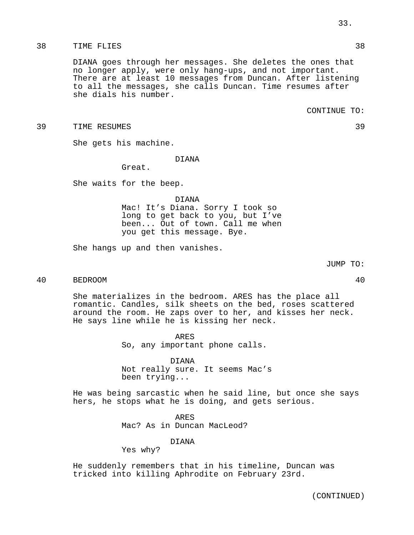# 38 TIME FLIES 38

DIANA goes through her messages. She deletes the ones that no longer apply, were only hang-ups, and not important. There are at least 10 messages from Duncan. After listening to all the messages, she calls Duncan. Time resumes after she dials his number.

39 TIME RESUMES 39

She gets his machine.

# DIANA

Great.

She waits for the beep.

DIANA

Mac! It's Diana. Sorry I took so long to get back to you, but I've been... Out of town. Call me when you get this message. Bye.

She hangs up and then vanishes.

# 40 BEDROOM 40

She materializes in the bedroom. ARES has the place all romantic. Candles, silk sheets on the bed, roses scattered around the room. He zaps over to her, and kisses her neck. He says line while he is kissing her neck.

> ARES So, any important phone calls.

DIANA Not really sure. It seems Mac's been trying...

He was being sarcastic when he said line, but once she says hers, he stops what he is doing, and gets serious.

> ARES Mac? As in Duncan MacLeod?

# DIANA

Yes why?

He suddenly remembers that in his timeline, Duncan was tricked into killing Aphrodite on February 23rd.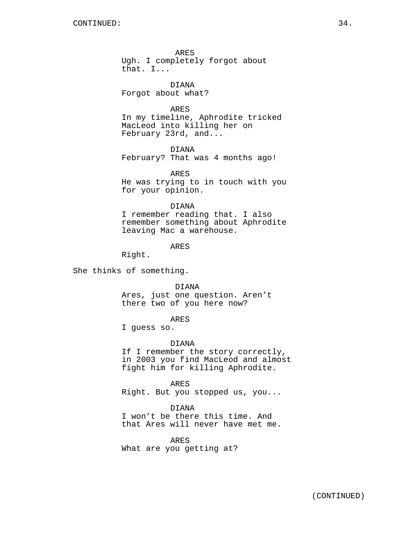ARES Ugh. I completely forgot about that. I...

DIANA Forgot about what?

# ARES

In my timeline, Aphrodite tricked MacLeod into killing her on February 23rd, and...

DIANA

February? That was 4 months ago!

ARES He was trying to in touch with you for your opinion.

# DIANA

I remember reading that. I also remember something about Aphrodite leaving Mac a warehouse.

# ARES

Right.

She thinks of something.

DIANA

Ares, just one question. Aren't there two of you here now?

# ARES

I guess so.

#### DIANA

If I remember the story correctly, in 2003 you find MacLeod and almost fight him for killing Aphrodite.

ARES Right. But you stopped us, you...

# DIANA

I won't be there this time. And that Ares will never have met me.

# ARES

What are you getting at?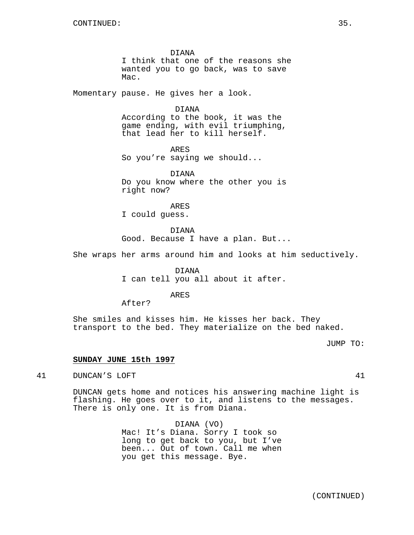DIANA I think that one of the reasons she wanted you to go back, was to save Mac.

Momentary pause. He gives her a look.

DIANA

According to the book, it was the game ending, with evil triumphing, that lead her to kill herself.

ARES So you're saying we should...

DIANA Do you know where the other you is right now?

ARES I could guess.

DIANA Good. Because I have a plan. But...

She wraps her arms around him and looks at him seductively.

DIANA

I can tell you all about it after.

ARES

After?

She smiles and kisses him. He kisses her back. They transport to the bed. They materialize on the bed naked.

JUMP TO:

# **SUNDAY JUNE 15th 1997**

41 DUNCAN'S LOFT 41

DUNCAN gets home and notices his answering machine light is flashing. He goes over to it, and listens to the messages. There is only one. It is from Diana.

> DIANA (VO) Mac! It's Diana. Sorry I took so long to get back to you, but I've been... Out of town. Call me when you get this message. Bye.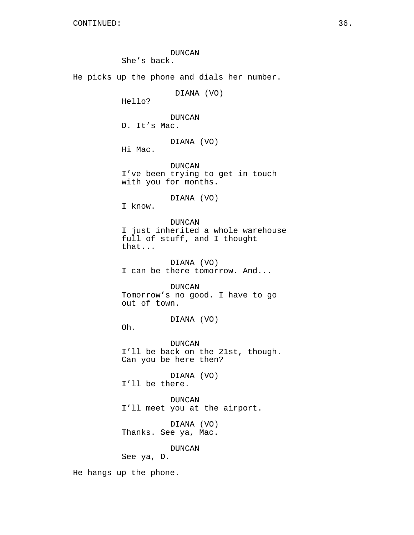DUNCAN She's back. He picks up the phone and dials her number. DIANA (VO) Hello? DUNCAN D. It's Mac. DIANA (VO) Hi Mac. DUNCAN I've been trying to get in touch with you for months. DIANA (VO) I know. DUNCAN I just inherited a whole warehouse full of stuff, and I thought that... DIANA (VO) I can be there tomorrow. And... DUNCAN Tomorrow's no good. I have to go out of town. DIANA (VO) Oh. DUNCAN I'll be back on the 21st, though. Can you be here then? DIANA (VO) I'll be there. DUNCAN I'll meet you at the airport. DIANA (VO) Thanks. See ya, Mac. DUNCAN See ya, D.

He hangs up the phone.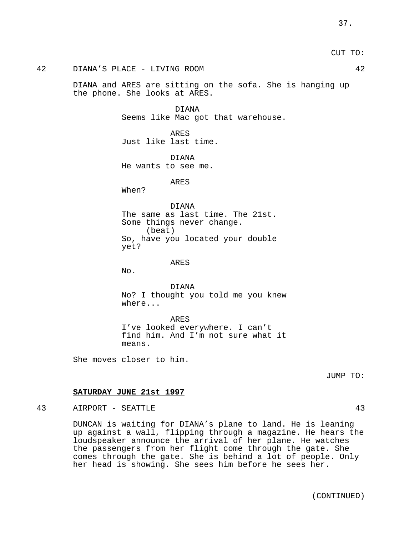CUT TO:

# 42 DIANA'S PLACE - LIVING ROOM 42

DIANA and ARES are sitting on the sofa. She is hanging up the phone. She looks at ARES.

> DIANA Seems like Mac got that warehouse.

ARES Just like last time.

DIANA He wants to see me.

ARES

When?

DIANA

The same as last time. The 21st. Some things never change. (beat) So, have you located your double yet?

ARES

No.

DIANA No? I thought you told me you knew where...

ARES I've looked everywhere. I can't find him. And I'm not sure what it means.

She moves closer to him.

JUMP TO:

# **SATURDAY JUNE 21st 1997**

# 43 AIRPORT - SEATTLE 43

DUNCAN is waiting for DIANA's plane to land. He is leaning up against a wall, flipping through a magazine. He hears the loudspeaker announce the arrival of her plane. He watches the passengers from her flight come through the gate. She comes through the gate. She is behind a lot of people. Only her head is showing. She sees him before he sees her.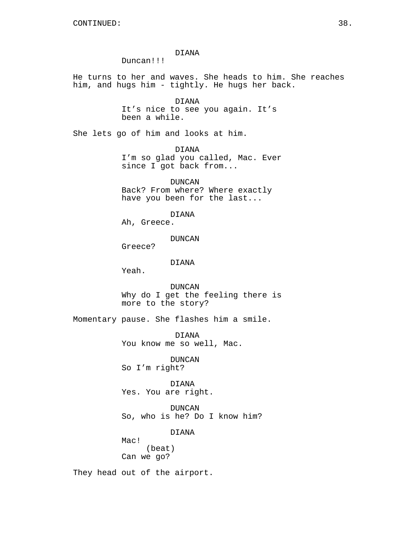DIANA

Duncan!!!

He turns to her and waves. She heads to him. She reaches him, and hugs him - tightly. He hugs her back.

> DIANA It's nice to see you again. It's been a while.

She lets go of him and looks at him.

DIANA I'm so glad you called, Mac. Ever since I got back from...

DUNCAN Back? From where? Where exactly have you been for the last...

DIANA

Ah, Greece.

DUNCAN

Greece?

DIANA

Yeah.

DUNCAN Why do I get the feeling there is more to the story?

Momentary pause. She flashes him a smile.

DIANA You know me so well, Mac.

DUNCAN So I'm right?

DIANA Yes. You are right.

DUNCAN So, who is he? Do I know him?

DIANA

Mac! (beat) Can we go?

They head out of the airport.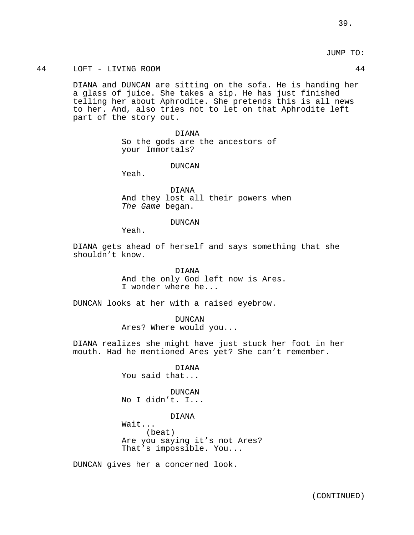JUMP TO:

# 44 LOFT - LIVING ROOM 44

DIANA and DUNCAN are sitting on the sofa. He is handing her a glass of juice. She takes a sip. He has just finished telling her about Aphrodite. She pretends this is all news to her. And, also tries not to let on that Aphrodite left part of the story out.

> DIANA So the gods are the ancestors of your Immortals?

> > DUNCAN

Yeah.

DIANA And they lost all their powers when The Game began.

DUNCAN

Yeah.

DIANA gets ahead of herself and says something that she shouldn't know.

> DIANA And the only God left now is Ares. I wonder where he...

DUNCAN looks at her with a raised eyebrow.

DUNCAN Ares? Where would you...

DIANA realizes she might have just stuck her foot in her mouth. Had he mentioned Ares yet? She can't remember.

> DIANA You said that...

DUNCAN No I didn't. I...

DIANA

Wait... (beat) Are you saying it's not Ares? That's impossible. You...

DUNCAN gives her a concerned look.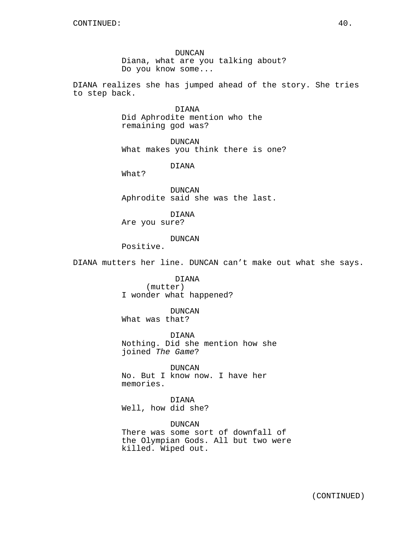DUNCAN Diana, what are you talking about? Do you know some...

DIANA realizes she has jumped ahead of the story. She tries to step back.

> DIANA Did Aphrodite mention who the remaining god was?

DUNCAN What makes you think there is one?

DIANA

What?

DUNCAN Aphrodite said she was the last.

DIANA

Are you sure?

# DUNCAN

Positive.

DIANA mutters her line. DUNCAN can't make out what she says.

DIANA (mutter) I wonder what happened?

DUNCAN What was that?

DIANA Nothing. Did she mention how she joined The Game?

DUNCAN No. But I know now. I have her memories.

DIANA Well, how did she?

DUNCAN There was some sort of downfall of the Olympian Gods. All but two were killed. Wiped out.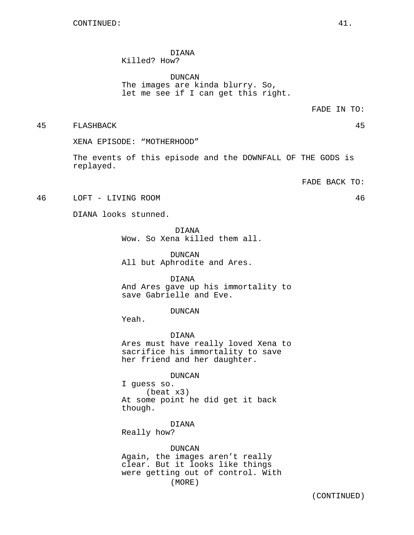#### DIANA Killed? How?

DUNCAN The images are kinda blurry. So, let me see if I can get this right.

45 FLASHBACK 45

XENA EPISODE: "MOTHERHOOD"

The events of this episode and the DOWNFALL OF THE GODS is replayed.

FADE BACK TO:

46 LOFT - LIVING ROOM 46

DIANA looks stunned.

DIANA

Wow. So Xena killed them all.

DUNCAN All but Aphrodite and Ares.

DIANA And Ares gave up his immortality to save Gabrielle and Eve.

DUNCAN

Yeah.

DIANA Ares must have really loved Xena to sacrifice his immortality to save her friend and her daughter.

DUNCAN

I guess so. (beat x3) At some point he did get it back though.

DIANA Really how?

DUNCAN Again, the images aren't really clear. But it looks like things were getting out of control. With (MORE)

FADE IN TO: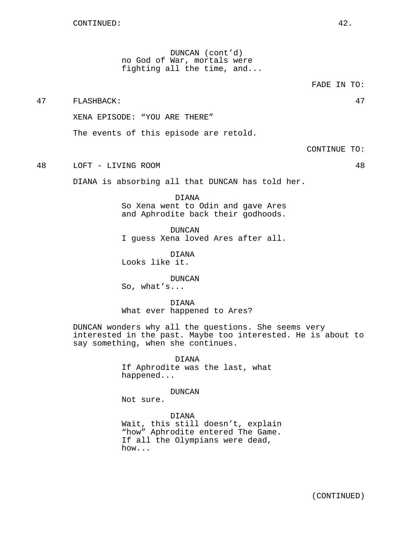DUNCAN (cont'd) no God of War, mortals were fighting all the time, and...

FADE IN TO:

47 FLASHBACK: 47

XENA EPISODE: "YOU ARE THERE"

The events of this episode are retold.

CONTINUE TO:

48 LOFT - LIVING ROOM 48

DIANA is absorbing all that DUNCAN has told her.

DIANA So Xena went to Odin and gave Ares and Aphrodite back their godhoods.

DUNCAN I guess Xena loved Ares after all.

DIANA Looks like it.

DUNCAN So, what's...

DIANA What ever happened to Ares?

DUNCAN wonders why all the questions. She seems very interested in the past. Maybe too interested. He is about to say something, when she continues.

> DIANA If Aphrodite was the last, what happened...

# DUNCAN

Not sure.

DIANA Wait, this still doesn't, explain "how" Aphrodite entered The Game. If all the Olympians were dead, how...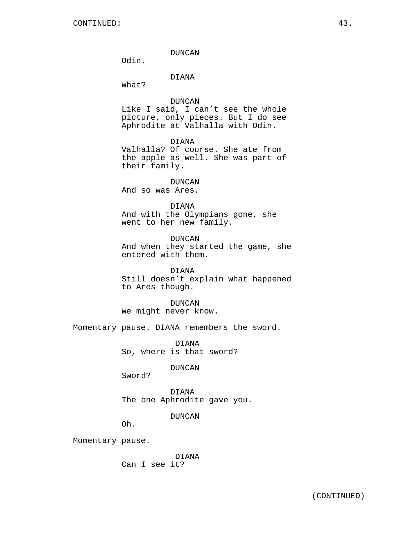DUNCAN

Odin.

# DIANA

What?

DUNCAN

Like I said, I can't see the whole picture, only pieces. But I do see Aphrodite at Valhalla with Odin.

DIANA

Valhalla? Of course. She ate from the apple as well. She was part of their family.

DUNCAN

And so was Ares.

# DIANA

And with the Olympians gone, she went to her new family.

DUNCAN And when they started the game, she entered with them.

DIANA Still doesn't explain what happened to Ares though.

DUNCAN

We might never know.

Momentary pause. DIANA remembers the sword.

DIANA So, where is that sword?

DUNCAN

Sword?

DIANA The one Aphrodite gave you.

DUNCAN

Oh.

Momentary pause.

DIANA Can I see it?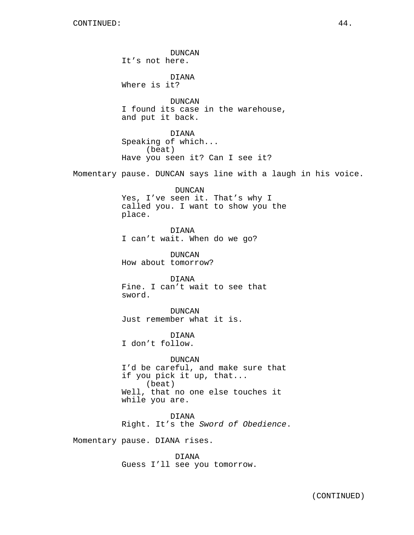DUNCAN It's not here. DIANA Where is it? DUNCAN I found its case in the warehouse, and put it back. DIANA Speaking of which... (beat) Have you seen it? Can I see it? Momentary pause. DUNCAN says line with a laugh in his voice. DUNCAN Yes, I've seen it. That's why I called you. I want to show you the place. DIANA I can't wait. When do we go? DUNCAN How about tomorrow? DIANA Fine. I can't wait to see that sword. DUNCAN Just remember what it is. DIANA I don't follow. DUNCAN I'd be careful, and make sure that if you pick it up, that... (beat) Well, that no one else touches it while you are. DIANA Right. It's the Sword of Obedience. Momentary pause. DIANA rises. DIANA Guess I'll see you tomorrow.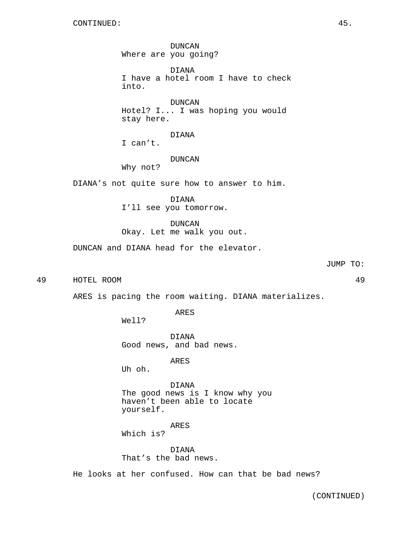DUNCAN Where are you going?

DIANA I have a hotel room I have to check into.

DUNCAN Hotel? I... I was hoping you would stay here.

DIANA

I can't.

DUNCAN

Why not?

DIANA's not quite sure how to answer to him.

DIANA I'll see you tomorrow.

DUNCAN Okay. Let me walk you out.

DUNCAN and DIANA head for the elevator.

JUMP TO:

49 HOTEL ROOM 49

ARES is pacing the room waiting. DIANA materializes.

ARES

Well?

DIANA Good news, and bad news.

ARES

Uh oh.

DIANA The good news is I know why you haven't been able to locate yourself.

ARES Which is?

DIANA That's the bad news.

He looks at her confused. How can that be bad news?

(CONTINUED)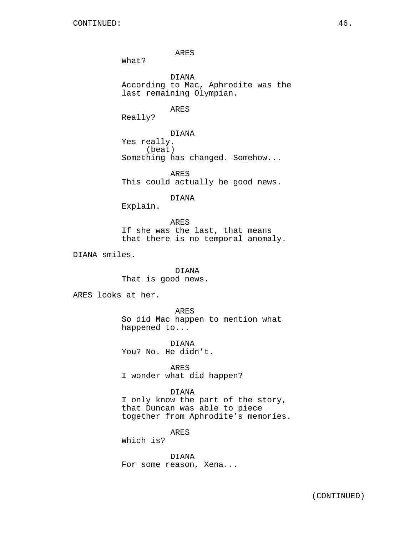ARES

What?

DIANA According to Mac, Aphrodite was the last remaining Olympian.

ARES

Really?

DIANA Yes really. (beat) Something has changed. Somehow...

ARES This could actually be good news.

DIANA

Explain.

ARES If she was the last, that means that there is no temporal anomaly.

DIANA smiles.

DIANA That is good news.

ARES looks at her.

ARES So did Mac happen to mention what happened to...

DIANA You? No. He didn't.

ARES I wonder what did happen?

DIANA

I only know the part of the story, that Duncan was able to piece together from Aphrodite's memories.

ARES

Which is?

DIANA For some reason, Xena...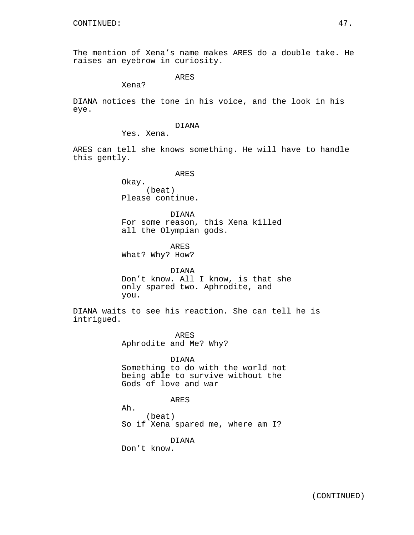The mention of Xena's name makes ARES do a double take. He raises an eyebrow in curiosity.

ARES

Xena?

DIANA notices the tone in his voice, and the look in his eye.

# DIANA

Yes. Xena.

ARES can tell she knows something. He will have to handle this gently.

ARES

Okay. (beat) Please continue.

DIANA For some reason, this Xena killed all the Olympian gods.

ARES What? Why? How?

DIANA Don't know. All I know, is that she only spared two. Aphrodite, and you.

DIANA waits to see his reaction. She can tell he is intrigued.

> ARES Aphrodite and Me? Why?

DIANA Something to do with the world not being able to survive without the Gods of love and war

# ARES

Ah.

(beat) So if Xena spared me, where am I?

DIANA

Don't know.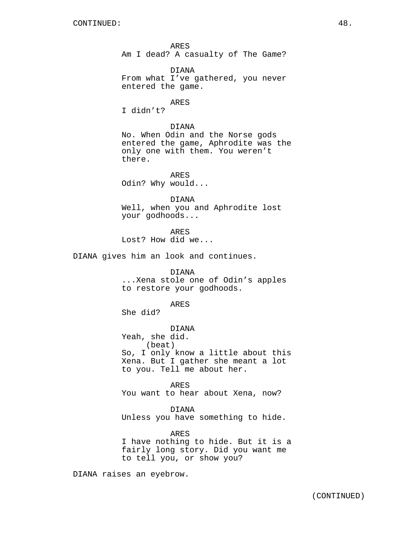ARES Am I dead? A casualty of The Game?

DIANA From what I've gathered, you never entered the game.

#### ARES

I didn't?

DIANA No. When Odin and the Norse gods entered the game, Aphrodite was the only one with them. You weren't there.

ARES Odin? Why would...

DIANA Well, when you and Aphrodite lost your godhoods...

ARES Lost? How did we...

DIANA gives him an look and continues.

# DIANA

...Xena stole one of Odin's apples to restore your godhoods.

# ARES

She did?

DIANA

Yeah, she did. (beat) So, I only know a little about this Xena. But I gather she meant a lot to you. Tell me about her.

ARES You want to hear about Xena, now?

DIANA

Unless you have something to hide.

#### ARES

I have nothing to hide. But it is a fairly long story. Did you want me to tell you, or show you?

DIANA raises an eyebrow.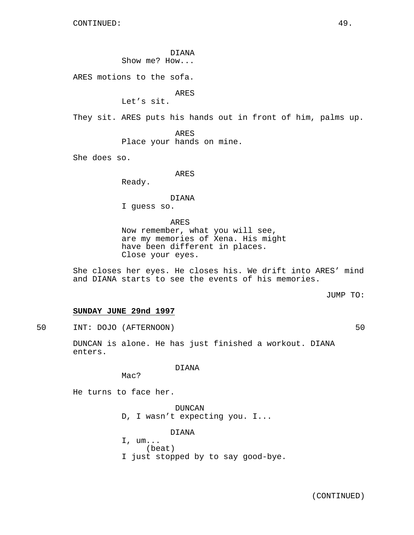DIANA

Show me? How...

ARES motions to the sofa.

ARES

Let's sit.

They sit. ARES puts his hands out in front of him, palms up.

ARES Place your hands on mine.

She does so.

ARES

Ready.

DIANA

I guess so.

ARES Now remember, what you will see, are my memories of Xena. His might have been different in places. Close your eyes.

She closes her eyes. He closes his. We drift into ARES' mind and DIANA starts to see the events of his memories.

JUMP TO:

# **SUNDAY JUNE 29nd 1997**

50 INT: DOJO (AFTERNOON) 50

DUNCAN is alone. He has just finished a workout. DIANA enters.

DIANA

Mac?

He turns to face her.

DUNCAN D, I wasn't expecting you. I...

DIANA

I, um... (beat) I just stopped by to say good-bye.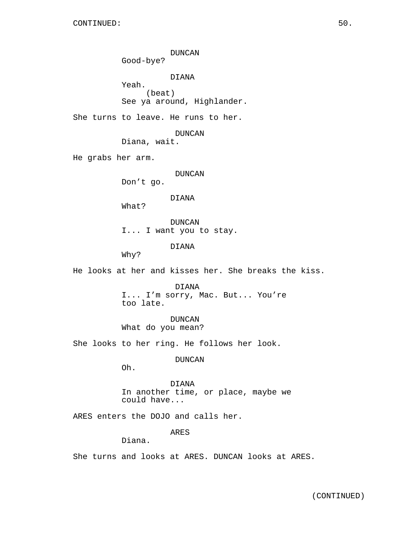DUNCAN Good-bye? DIANA Yeah. (beat) See ya around, Highlander. She turns to leave. He runs to her. DUNCAN Diana, wait. He grabs her arm. DUNCAN Don't go. DIANA What? DUNCAN I... I want you to stay. DIANA Why? He looks at her and kisses her. She breaks the kiss. DIANA I... I'm sorry, Mac. But... You're too late. DUNCAN What do you mean? She looks to her ring. He follows her look. DUNCAN Oh. DIANA In another time, or place, maybe we could have... ARES enters the DOJO and calls her. ARES Diana. She turns and looks at ARES. DUNCAN looks at ARES.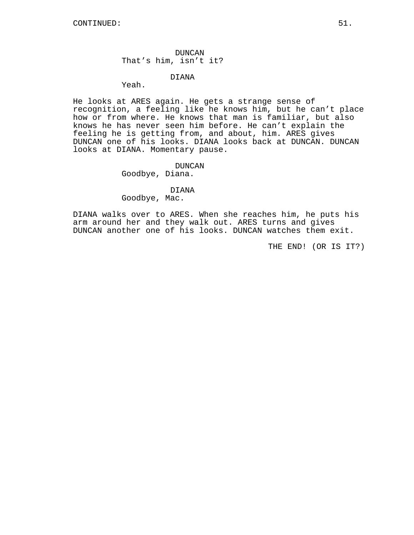DUNCAN That's him, isn't it?

DIANA

Yeah.

He looks at ARES again. He gets a strange sense of recognition, a feeling like he knows him, but he can't place how or from where. He knows that man is familiar, but also knows he has never seen him before. He can't explain the feeling he is getting from, and about, him. ARES gives DUNCAN one of his looks. DIANA looks back at DUNCAN. DUNCAN looks at DIANA. Momentary pause.

DUNCAN

Goodbye, Diana.

DIANA

Goodbye, Mac.

DIANA walks over to ARES. When she reaches him, he puts his arm around her and they walk out. ARES turns and gives DUNCAN another one of his looks. DUNCAN watches them exit.

THE END! (OR IS IT?)